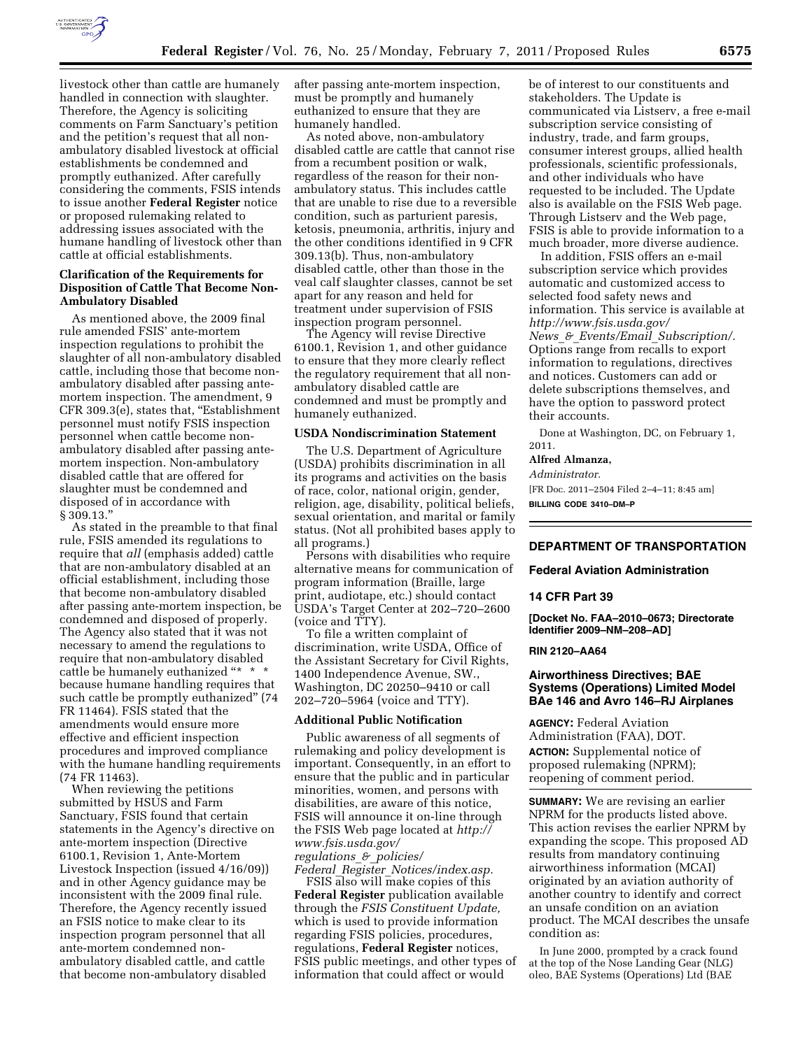

livestock other than cattle are humanely handled in connection with slaughter. Therefore, the Agency is soliciting comments on Farm Sanctuary's petition and the petition's request that all nonambulatory disabled livestock at official establishments be condemned and promptly euthanized. After carefully considering the comments, FSIS intends to issue another **Federal Register** notice or proposed rulemaking related to addressing issues associated with the humane handling of livestock other than cattle at official establishments.

## **Clarification of the Requirements for Disposition of Cattle That Become Non-Ambulatory Disabled**

As mentioned above, the 2009 final rule amended FSIS' ante-mortem inspection regulations to prohibit the slaughter of all non-ambulatory disabled cattle, including those that become nonambulatory disabled after passing antemortem inspection. The amendment, 9 CFR 309.3(e), states that, "Establishment personnel must notify FSIS inspection personnel when cattle become nonambulatory disabled after passing antemortem inspection. Non-ambulatory disabled cattle that are offered for slaughter must be condemned and disposed of in accordance with § 309.13.''

As stated in the preamble to that final rule, FSIS amended its regulations to require that *all* (emphasis added) cattle that are non-ambulatory disabled at an official establishment, including those that become non-ambulatory disabled after passing ante-mortem inspection, be condemned and disposed of properly. The Agency also stated that it was not necessary to amend the regulations to require that non-ambulatory disabled cattle be humanely euthanized "\* \* because humane handling requires that such cattle be promptly euthanized'' (74 FR 11464). FSIS stated that the amendments would ensure more effective and efficient inspection procedures and improved compliance with the humane handling requirements (74 FR 11463).

When reviewing the petitions submitted by HSUS and Farm Sanctuary, FSIS found that certain statements in the Agency's directive on ante-mortem inspection (Directive 6100.1, Revision 1, Ante-Mortem Livestock Inspection (issued 4/16/09)) and in other Agency guidance may be inconsistent with the 2009 final rule. Therefore, the Agency recently issued an FSIS notice to make clear to its inspection program personnel that all ante-mortem condemned nonambulatory disabled cattle, and cattle that become non-ambulatory disabled

after passing ante-mortem inspection, must be promptly and humanely euthanized to ensure that they are humanely handled.

As noted above, non-ambulatory disabled cattle are cattle that cannot rise from a recumbent position or walk, regardless of the reason for their nonambulatory status. This includes cattle that are unable to rise due to a reversible condition, such as parturient paresis, ketosis, pneumonia, arthritis, injury and the other conditions identified in 9 CFR 309.13(b). Thus, non-ambulatory disabled cattle, other than those in the veal calf slaughter classes, cannot be set apart for any reason and held for treatment under supervision of FSIS inspection program personnel.

The Agency will revise Directive 6100.1, Revision 1, and other guidance to ensure that they more clearly reflect the regulatory requirement that all nonambulatory disabled cattle are condemned and must be promptly and humanely euthanized.

#### **USDA Nondiscrimination Statement**

The U.S. Department of Agriculture (USDA) prohibits discrimination in all its programs and activities on the basis of race, color, national origin, gender, religion, age, disability, political beliefs, sexual orientation, and marital or family status. (Not all prohibited bases apply to all programs.)

Persons with disabilities who require alternative means for communication of program information (Braille, large print, audiotape, etc.) should contact USDA's Target Center at 202–720–2600 (voice and TTY).

To file a written complaint of discrimination, write USDA, Office of the Assistant Secretary for Civil Rights, 1400 Independence Avenue, SW., Washington, DC 20250–9410 or call 202–720–5964 (voice and TTY).

# **Additional Public Notification**

Public awareness of all segments of rulemaking and policy development is important. Consequently, in an effort to ensure that the public and in particular minorities, women, and persons with disabilities, are aware of this notice, FSIS will announce it on-line through the FSIS Web page located at *[http://](http://www.fsis.usda.gov/regulations_&_policies/Federal_Register_Notices/index.asp)  [www.fsis.usda.gov/](http://www.fsis.usda.gov/regulations_&_policies/Federal_Register_Notices/index.asp)* 

*[regulations](http://www.fsis.usda.gov/regulations_&_policies/Federal_Register_Notices/index.asp)*\_*&*\_*policies/* 

*Federal*\_*Register*\_*[Notices/index.asp.](http://www.fsis.usda.gov/regulations_&_policies/Federal_Register_Notices/index.asp)* 

FSIS also will make copies of this **Federal Register** publication available through the *FSIS Constituent Update,*  which is used to provide information regarding FSIS policies, procedures, regulations, **Federal Register** notices, FSIS public meetings, and other types of information that could affect or would

be of interest to our constituents and stakeholders. The Update is communicated via Listserv, a free e-mail subscription service consisting of industry, trade, and farm groups, consumer interest groups, allied health professionals, scientific professionals, and other individuals who have requested to be included. The Update also is available on the FSIS Web page. Through Listserv and the Web page, FSIS is able to provide information to a much broader, more diverse audience.

In addition, FSIS offers an e-mail subscription service which provides automatic and customized access to selected food safety news and information. This service is available at *[http://www.fsis.usda.gov/](http://www.fsis.usda.gov/News_&_Events/Email_Subscription/)  News*\_*&*\_*Events/Email*\_*[Subscription/.](http://www.fsis.usda.gov/News_&_Events/Email_Subscription/)*  Options range from recalls to export information to regulations, directives and notices. Customers can add or delete subscriptions themselves, and have the option to password protect their accounts.

Done at Washington, DC, on February 1, 2011.

# **Alfred Almanza,**

*Administrator.* 

[FR Doc. 2011–2504 Filed 2–4–11; 8:45 am] **BILLING CODE 3410–DM–P** 

# **DEPARTMENT OF TRANSPORTATION**

#### **Federal Aviation Administration**

#### **14 CFR Part 39**

**[Docket No. FAA–2010–0673; Directorate Identifier 2009–NM–208–AD]** 

**RIN 2120–AA64** 

# **Airworthiness Directives; BAE Systems (Operations) Limited Model BAe 146 and Avro 146–RJ Airplanes**

**AGENCY:** Federal Aviation Administration (FAA), DOT. **ACTION:** Supplemental notice of proposed rulemaking (NPRM); reopening of comment period.

**SUMMARY:** We are revising an earlier NPRM for the products listed above. This action revises the earlier NPRM by expanding the scope. This proposed AD results from mandatory continuing airworthiness information (MCAI) originated by an aviation authority of another country to identify and correct an unsafe condition on an aviation product. The MCAI describes the unsafe condition as:

In June 2000, prompted by a crack found at the top of the Nose Landing Gear (NLG) oleo, BAE Systems (Operations) Ltd (BAE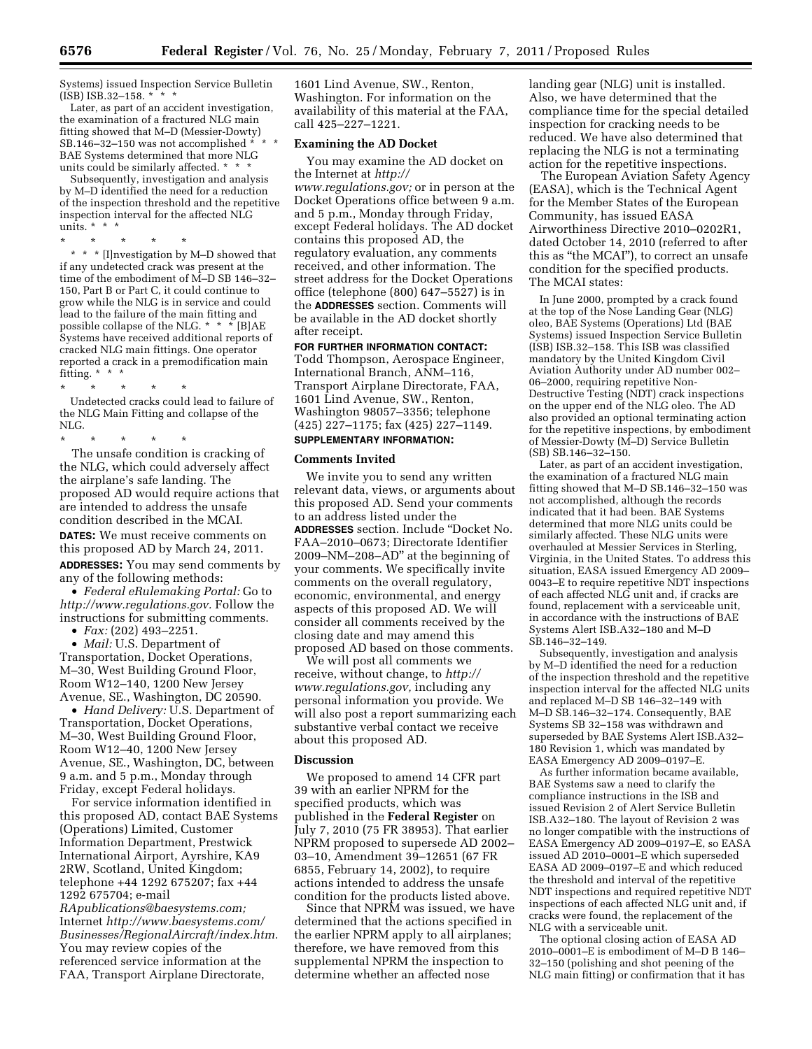Systems) issued Inspection Service Bulletin  $(ISBN1SB.32-158. * * * *$ 

Later, as part of an accident investigation, the examination of a fractured NLG main fitting showed that M–D (Messier-Dowty) SB.146-32-150 was not accomplished  $* * *$ BAE Systems determined that more NLG units could be similarly affected. \* \* \*

Subsequently, investigation and analysis by M–D identified the need for a reduction of the inspection threshold and the repetitive inspection interval for the affected NLG units. \* \* \*<br>\* \* \* \*

\* \* \* \* \* \* \* \* [I]nvestigation by M–D showed that if any undetected crack was present at the time of the embodiment of M–D SB 146–32– 150, Part B or Part C, it could continue to grow while the NLG is in service and could lead to the failure of the main fitting and possible collapse of the NLG. \* \* \*  $\check{~}$  [B]AE Systems have received additional reports of cracked NLG main fittings. One operator reported a crack in a premodification main fitting. \* \* \*

\* \* \* \* \* Undetected cracks could lead to failure of the NLG Main Fitting and collapse of the NLG.

\* \* \* \* \* The unsafe condition is cracking of the NLG, which could adversely affect the airplane's safe landing. The proposed AD would require actions that are intended to address the unsafe condition described in the MCAI. **DATES:** We must receive comments on this proposed AD by March 24, 2011. **ADDRESSES:** You may send comments by any of the following methods:

• *Federal eRulemaking Portal:* Go to *[http://www.regulations.gov.](http://www.regulations.gov)* Follow the instructions for submitting comments.

• *Fax:* (202) 493–2251.

• *Mail:* U.S. Department of Transportation, Docket Operations, M–30, West Building Ground Floor, Room W12–140, 1200 New Jersey Avenue, SE., Washington, DC 20590.

• *Hand Delivery:* U.S. Department of Transportation, Docket Operations, M–30, West Building Ground Floor, Room W12–40, 1200 New Jersey Avenue, SE., Washington, DC, between 9 a.m. and 5 p.m., Monday through Friday, except Federal holidays.

For service information identified in this proposed AD, contact BAE Systems (Operations) Limited, Customer Information Department, Prestwick International Airport, Ayrshire, KA9 2RW, Scotland, United Kingdom; telephone +44 1292 675207; fax +44 1292 675704; e-mail

*[RApublications@baesystems.com;](mailto:RApublications@baesystems.com)*  Internet *[http://www.baesystems.com/](http://www.baesystems.com/Businesses/RegionalAircraft/index.htm)  [Businesses/RegionalAircraft/index.htm.](http://www.baesystems.com/Businesses/RegionalAircraft/index.htm)*  You may review copies of the referenced service information at the FAA, Transport Airplane Directorate,

1601 Lind Avenue, SW., Renton, Washington. For information on the availability of this material at the FAA, call 425–227–1221.

### **Examining the AD Docket**

You may examine the AD docket on the Internet at *[http://](http://www.regulations.gov)* 

*[www.regulations.gov;](http://www.regulations.gov)* or in person at the Docket Operations office between 9 a.m. and 5 p.m., Monday through Friday, except Federal holidays. The AD docket contains this proposed AD, the regulatory evaluation, any comments received, and other information. The street address for the Docket Operations office (telephone (800) 647–5527) is in the **ADDRESSES** section. Comments will be available in the AD docket shortly after receipt.

**FOR FURTHER INFORMATION CONTACT:**  Todd Thompson, Aerospace Engineer, International Branch, ANM–116, Transport Airplane Directorate, FAA, 1601 Lind Avenue, SW., Renton, Washington 98057–3356; telephone (425) 227–1175; fax (425) 227–1149.

# **SUPPLEMENTARY INFORMATION:**

#### **Comments Invited**

We invite you to send any written relevant data, views, or arguments about this proposed AD. Send your comments to an address listed under the **ADDRESSES** section. Include ''Docket No. FAA–2010–0673; Directorate Identifier 2009–NM–208–AD'' at the beginning of your comments. We specifically invite comments on the overall regulatory, economic, environmental, and energy aspects of this proposed AD. We will consider all comments received by the closing date and may amend this proposed AD based on those comments.

We will post all comments we receive, without change, to *[http://](http://www.regulations.gov) [www.regulations.gov,](http://www.regulations.gov)* including any personal information you provide. We will also post a report summarizing each substantive verbal contact we receive about this proposed AD.

#### **Discussion**

We proposed to amend 14 CFR part 39 with an earlier NPRM for the specified products, which was published in the **Federal Register** on July 7, 2010 (75 FR 38953). That earlier NPRM proposed to supersede AD 2002– 03–10, Amendment 39–12651 (67 FR 6855, February 14, 2002), to require actions intended to address the unsafe condition for the products listed above.

Since that NPRM was issued, we have determined that the actions specified in the earlier NPRM apply to all airplanes; therefore, we have removed from this supplemental NPRM the inspection to determine whether an affected nose

landing gear (NLG) unit is installed. Also, we have determined that the compliance time for the special detailed inspection for cracking needs to be reduced. We have also determined that replacing the NLG is not a terminating action for the repetitive inspections.

The European Aviation Safety Agency (EASA), which is the Technical Agent for the Member States of the European Community, has issued EASA Airworthiness Directive 2010–0202R1, dated October 14, 2010 (referred to after this as ''the MCAI''), to correct an unsafe condition for the specified products. The MCAI states:

In June 2000, prompted by a crack found at the top of the Nose Landing Gear (NLG) oleo, BAE Systems (Operations) Ltd (BAE Systems) issued Inspection Service Bulletin (ISB) ISB.32–158. This ISB was classified mandatory by the United Kingdom Civil Aviation Authority under AD number 002– 06–2000, requiring repetitive Non-Destructive Testing (NDT) crack inspections on the upper end of the NLG oleo. The AD also provided an optional terminating action for the repetitive inspections, by embodiment of Messier-Dowty (M–D) Service Bulletin (SB) SB.146–32–150.

Later, as part of an accident investigation, the examination of a fractured NLG main fitting showed that M–D SB.146–32–150 was not accomplished, although the records indicated that it had been. BAE Systems determined that more NLG units could be similarly affected. These NLG units were overhauled at Messier Services in Sterling, Virginia, in the United States. To address this situation, EASA issued Emergency AD 2009– 0043–E to require repetitive NDT inspections of each affected NLG unit and, if cracks are found, replacement with a serviceable unit, in accordance with the instructions of BAE Systems Alert ISB.A32–180 and M–D SB.146–32–149.

Subsequently, investigation and analysis by M–D identified the need for a reduction of the inspection threshold and the repetitive inspection interval for the affected NLG units and replaced M–D SB 146–32–149 with M–D SB.146–32–174. Consequently, BAE Systems SB 32–158 was withdrawn and superseded by BAE Systems Alert ISB.A32– 180 Revision 1, which was mandated by EASA Emergency AD 2009–0197–E.

As further information became available, BAE Systems saw a need to clarify the compliance instructions in the ISB and issued Revision 2 of Alert Service Bulletin ISB.A32–180. The layout of Revision 2 was no longer compatible with the instructions of EASA Emergency AD 2009–0197–E, so EASA issued AD 2010–0001–E which superseded EASA AD 2009–0197–E and which reduced the threshold and interval of the repetitive NDT inspections and required repetitive NDT inspections of each affected NLG unit and, if cracks were found, the replacement of the NLG with a serviceable unit.

The optional closing action of EASA AD 2010–0001–E is embodiment of M–D B 146– 32–150 (polishing and shot peening of the NLG main fitting) or confirmation that it has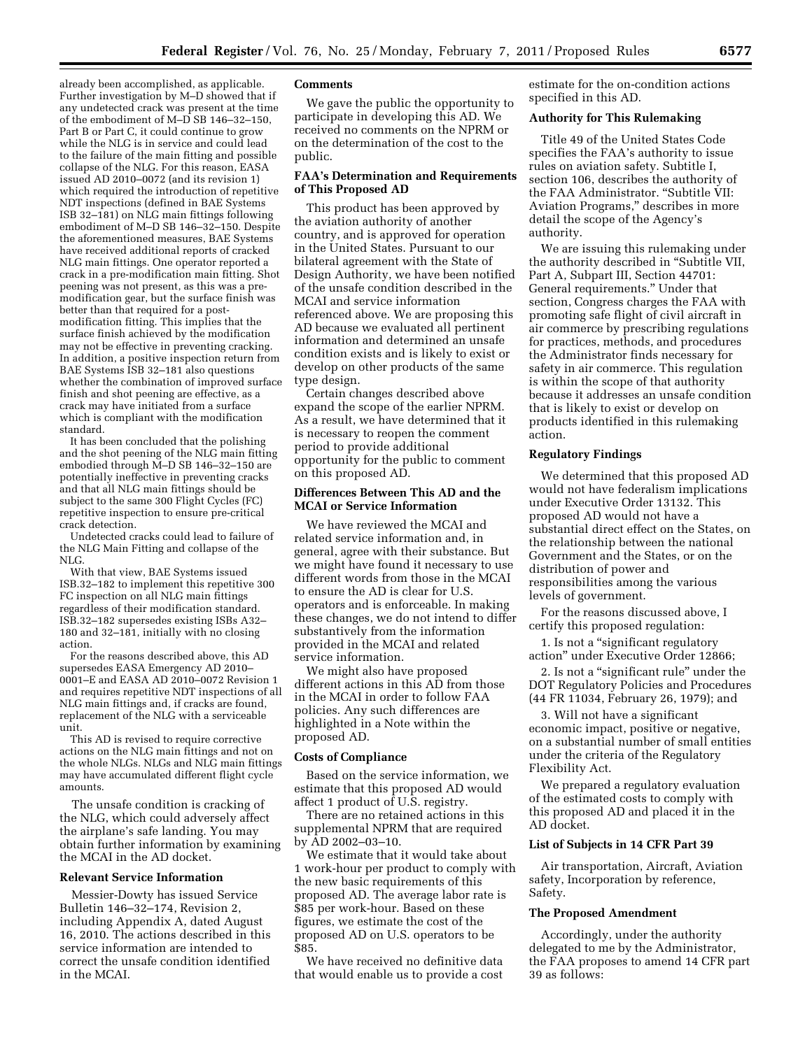already been accomplished, as applicable. Further investigation by M–D showed that if any undetected crack was present at the time of the embodiment of M–D SB 146–32–150, Part B or Part C, it could continue to grow while the NLG is in service and could lead to the failure of the main fitting and possible collapse of the NLG. For this reason, EASA issued AD 2010–0072 (and its revision 1) which required the introduction of repetitive NDT inspections (defined in BAE Systems ISB 32–181) on NLG main fittings following embodiment of M–D SB 146–32–150. Despite the aforementioned measures, BAE Systems have received additional reports of cracked NLG main fittings. One operator reported a crack in a pre-modification main fitting. Shot peening was not present, as this was a premodification gear, but the surface finish was better than that required for a postmodification fitting. This implies that the surface finish achieved by the modification may not be effective in preventing cracking. In addition, a positive inspection return from BAE Systems ISB 32–181 also questions whether the combination of improved surface finish and shot peening are effective, as a crack may have initiated from a surface which is compliant with the modification standard.

It has been concluded that the polishing and the shot peening of the NLG main fitting embodied through M–D SB 146–32–150 are potentially ineffective in preventing cracks and that all NLG main fittings should be subject to the same 300 Flight Cycles (FC) repetitive inspection to ensure pre-critical crack detection.

Undetected cracks could lead to failure of the NLG Main Fitting and collapse of the NLG.

With that view, BAE Systems issued ISB.32–182 to implement this repetitive 300 FC inspection on all NLG main fittings regardless of their modification standard. ISB.32–182 supersedes existing ISBs A32– 180 and 32–181, initially with no closing action.

For the reasons described above, this AD supersedes EASA Emergency AD 2010– 0001–E and EASA AD 2010–0072 Revision 1 and requires repetitive NDT inspections of all NLG main fittings and, if cracks are found, replacement of the NLG with a serviceable unit.

This AD is revised to require corrective actions on the NLG main fittings and not on the whole NLGs. NLGs and NLG main fittings may have accumulated different flight cycle amounts.

The unsafe condition is cracking of the NLG, which could adversely affect the airplane's safe landing. You may obtain further information by examining the MCAI in the AD docket.

### **Relevant Service Information**

Messier-Dowty has issued Service Bulletin 146–32–174, Revision 2, including Appendix A, dated August 16, 2010. The actions described in this service information are intended to correct the unsafe condition identified in the MCAI.

# **Comments**

We gave the public the opportunity to participate in developing this AD. We received no comments on the NPRM or on the determination of the cost to the public.

### **FAA's Determination and Requirements of This Proposed AD**

This product has been approved by the aviation authority of another country, and is approved for operation in the United States. Pursuant to our bilateral agreement with the State of Design Authority, we have been notified of the unsafe condition described in the MCAI and service information referenced above. We are proposing this AD because we evaluated all pertinent information and determined an unsafe condition exists and is likely to exist or develop on other products of the same type design.

Certain changes described above expand the scope of the earlier NPRM. As a result, we have determined that it is necessary to reopen the comment period to provide additional opportunity for the public to comment on this proposed AD.

# **Differences Between This AD and the MCAI or Service Information**

We have reviewed the MCAI and related service information and, in general, agree with their substance. But we might have found it necessary to use different words from those in the MCAI to ensure the AD is clear for U.S. operators and is enforceable. In making these changes, we do not intend to differ substantively from the information provided in the MCAI and related service information.

We might also have proposed different actions in this AD from those in the MCAI in order to follow FAA policies. Any such differences are highlighted in a Note within the proposed AD.

#### **Costs of Compliance**

Based on the service information, we estimate that this proposed AD would affect 1 product of U.S. registry.

There are no retained actions in this supplemental NPRM that are required by AD 2002–03–10.

We estimate that it would take about 1 work-hour per product to comply with the new basic requirements of this proposed AD. The average labor rate is \$85 per work-hour. Based on these figures, we estimate the cost of the proposed AD on U.S. operators to be \$85.

We have received no definitive data that would enable us to provide a cost estimate for the on-condition actions specified in this AD.

### **Authority for This Rulemaking**

Title 49 of the United States Code specifies the FAA's authority to issue rules on aviation safety. Subtitle I, section 106, describes the authority of the FAA Administrator. ''Subtitle VII: Aviation Programs,'' describes in more detail the scope of the Agency's authority.

We are issuing this rulemaking under the authority described in ''Subtitle VII, Part A, Subpart III, Section 44701: General requirements.'' Under that section, Congress charges the FAA with promoting safe flight of civil aircraft in air commerce by prescribing regulations for practices, methods, and procedures the Administrator finds necessary for safety in air commerce. This regulation is within the scope of that authority because it addresses an unsafe condition that is likely to exist or develop on products identified in this rulemaking action.

# **Regulatory Findings**

We determined that this proposed AD would not have federalism implications under Executive Order 13132. This proposed AD would not have a substantial direct effect on the States, on the relationship between the national Government and the States, or on the distribution of power and responsibilities among the various levels of government.

For the reasons discussed above, I certify this proposed regulation:

1. Is not a ''significant regulatory action'' under Executive Order 12866;

2. Is not a ''significant rule'' under the DOT Regulatory Policies and Procedures (44 FR 11034, February 26, 1979); and

3. Will not have a significant economic impact, positive or negative, on a substantial number of small entities under the criteria of the Regulatory Flexibility Act.

We prepared a regulatory evaluation of the estimated costs to comply with this proposed AD and placed it in the AD docket.

### **List of Subjects in 14 CFR Part 39**

Air transportation, Aircraft, Aviation safety, Incorporation by reference, Safety.

### **The Proposed Amendment**

Accordingly, under the authority delegated to me by the Administrator, the FAA proposes to amend 14 CFR part 39 as follows: